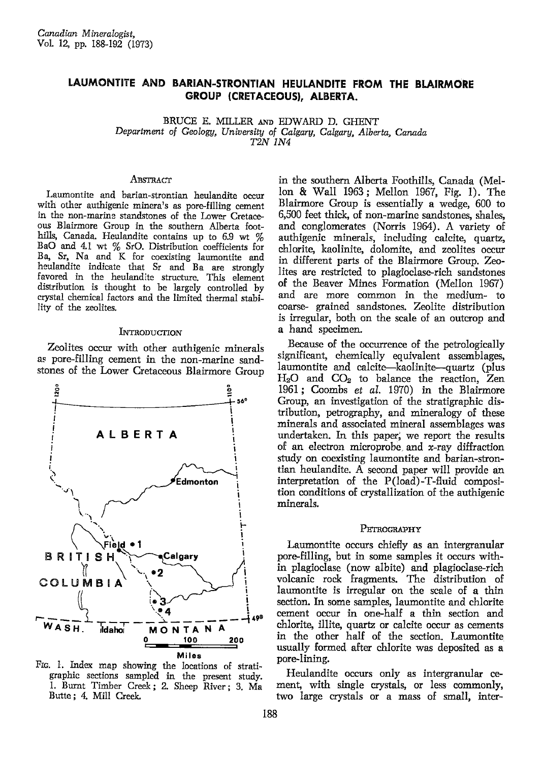# LAUMONTITE AND BARIAN-STRONTIAN HEULANDITE FROM THE BLAIRMORE GROUP (CRETACEOUS), ALBERTA.

BRUCE E. MILLER AND EDWARD D. GHENT Department of Geology, University of Calgary, Calgary, Alberta, Canada T2N 1N4

### ABSTRACT

Laumontite and barian-strontian heulandite occur with other authigenic minera's as pore-filling cement in the non-marine standstones of the Lower Cretaceous Blairmore Group in the southern Alberta foothills, Canada. Heulandite contains up to 6.9 wt % BaO and 4.1 wt % SrO. Distribution coefficients for Ba, Sr, Na and K for coexisting laumontite and heulandite indicate that Sr and Ba are strongly favored in the heulandite structure. This element distribution is thought to be largely controlled by crystal chemical factors and the limited thermal stability of the zeolites.

#### INTRODUCTION

Zeolites occur with other authigenic minerals as pore-filling cement in the non-marine sandstones of the Lower Cretaceous Blairmore Group



FIG. 1. Index map showing the locations of stratigraphic sections sampled in the present study. 1. Burnt Timber Creek; 2. Sheep River; 3. Ma Butte; 4. Mill Creek.

in the southern Alberta Foothills, Canada (Mellon & Wall 1963; Mellon 1967, Fig. 1). The Blairmore Group is essentially a wedge, 600 to 6,500 feet thick, of non-marine sandstones, shales, and conglomerates (Norris 1964). A variety of authigenic minerals, including calcite, quartz, chlorite, kaolinite, dolomite, and zeolites occur in different parts of the Blairmore Group. Zeolites are restricted to plagioclase-rich sandstones of the Beaver Mines Formation (Mellon 1967) and are more common in the medium- to coarse- grained sandstones. Zeolite distribution is irregular, both on the scale of an outcrop and a hand specimen.

Because of the occurrence of the petrologically significant, chemically equivalent assemblages, laumontite and calcite—kaolinite—quartz (plus  $H_2O$  and  $CO_2$  to balance the reaction, Zen 1961; Coombs et al. 1970) in the Blairmore Group, an investigation of the stratigraphic distribution, petrography, and mineralogy of these minerals and associated mineral assemblages was undertaken. In this paper, we report the results of an electron microprobe and  $x$ -ray diffraction study on coexisting laumontite and barian-strontian heulandite. A second paper will provide an interpretation of the P(load)-T-fluid composition conditions of crystallization of the authigenic minerals.

#### PETROGRAPHY

Laumontite occurs chiefly as an intergranular pore-filling, but in some samples it occurs within plagioclase (now albite) and plagioclase-rich volcanic rock fragments. The distribution of laumontite is irregular on the scale of a thin section. In some samples, laumontite and chlorite cement occur in one-half a thin section and chlorite, illite, quartz or calcite occur as cements in the other half of the section. Laumontite usually formed after chlorite was deposited as a pore-lining.

Heulandite occurs only as intergranular cement, with single crystals, or less commonly, two large crystals or a mass of small, inter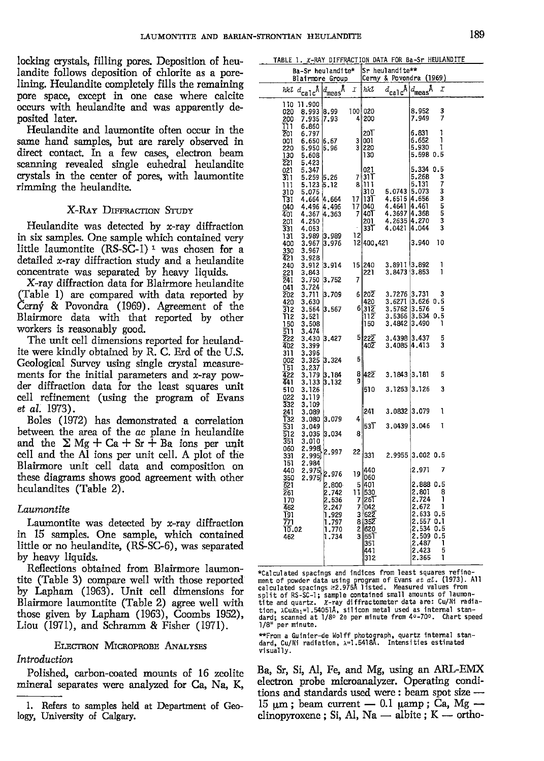locking crystals, filling pores. Deposition of heulandite follows deposition of chlorite as a porelining. Heulandite completely fills the remainihg pore space, except in one case where calcite occurs with heulandite and was apparently deposited later.

Heulandite and laumontite often occur in the same hand samples, but are rarely observed in direct contact. In a few cases, electron beam scanning revealed single euhedral heulandite crystals in the center of pores, with laumontite rimming the heulandite.

# X-RAY DIFFRACTION STUDY

Heulandite was detected by x-ray diffraction in six samples. One sample which contained very little laumontite  $(RS-SC-1)$ <sup>1</sup> was chosen for a detailed x-ray diffraction study and a heulandite concentrate was separated by heavy liquids.

X-ray diffraction data for Blairmore heulandite (Table 1) are compared with data reported by Cern $\acute{\text{y}}$  & Povondra (1969). Agreement of the Blairmore data with that reported by other workers is reasonably good.

The unit cell dimensions reported for heulandite were kindly obtained by R. C. Erd of the U.S. Geological Survey using single crystal measurements for the initial parameters and x-ray powder diffraction data for the least sguares unit cell refinement (using the program of Evans et al.1973).

Boles (1972) has demonstrated a correlation between the area of the ac plane in heulandite and the  $\Sigma$  Mg + Ca + Sr + Ba ions per unit cell and the Al ions per unit cell. A plot of the Blairmore unit cell data and composition on these diagrams shows good agreement with other heulandites (Table 2).

# Laumontite

Laumontite was detected by  $x$ -ray diffraction in 15 samples. One sample, which contained little or no heulandite, (RS-SC-6), was separated by heavy liquids.

Reflections obtained from Blairmore laumontite (Table 3) compare well with those reported by Lapham (1963). Unit cell dimensions for Blairmore laumontite (Table 2) agree well with those given by Lapham (1963), Coombs 1952), Liou  $(1971)$ , and Schramm & Fisher  $(1971)$ .

#### ELECTRON MICROPROBE ANALYSES

### Lntroduction

Polished, carbon-coated mounts of 16 zeolite mineral separates were analyzed for Ca, Na, K

|  | TABLE 1. X-RAY DIFFRACTION DATA FOR Ba-Sr HEULANDITE |  |  |
|--|------------------------------------------------------|--|--|
|  |                                                      |  |  |

| Ba-Sr heulandite*<br>Blairmore Group                                                   |                                                                      |                                     | Sr heulandite**<br>Cerny & Povondra (1969)                                                                |                                                      |                                                                                                                                                |  |
|----------------------------------------------------------------------------------------|----------------------------------------------------------------------|-------------------------------------|-----------------------------------------------------------------------------------------------------------|------------------------------------------------------|------------------------------------------------------------------------------------------------------------------------------------------------|--|
| <i>hkl</i> $d_{\text{calc}}^{\dagger}$                                                 | $ d_{\text{meas}}$ Å                                                 | I                                   | hkl                                                                                                       | $d_{\rm cal}$ c $^{\rm A}$                           | $d_\mathsf{meas}$ Å<br>Ι                                                                                                                       |  |
| 11.900<br>110<br>8.993 8.99<br>020<br>7.935 7.93<br>200<br>ות<br>6.860                 |                                                                      | 100 020                             | 4 200                                                                                                     |                                                      | 8.952<br>3<br>7<br>7.949                                                                                                                       |  |
| 201<br>6.797<br>6.650 6.67<br>001<br>5.950 5.96<br>220<br>130<br>5.608                 |                                                                      | 3                                   | 20T<br>3   001<br>220<br>130                                                                              |                                                      | 6.831<br>1<br>6.652<br>1<br>5.930<br>1<br>5.598 0.5                                                                                            |  |
| 221<br>5.423<br>021<br>5.347<br>5.259 5.26<br>311<br>111<br>5.123 5.12<br>5.075<br>310 |                                                                      |                                     | 021<br>7 311<br>8  11                                                                                     | 5.0743 5.073                                         | 5.334 0.5<br>3<br>5.268<br>7<br>5.131<br>3                                                                                                     |  |
| 4.664 4.664<br>T31<br>4.496 4.496<br>040<br>401<br>4.367<br>4.250<br>$\frac{201}{331}$ | 4.363                                                                | 17<br>17 <br>7                      | 310<br>131<br>040<br>40T<br>201                                                                           | 4.6515<br>4.4641<br>4.3697<br>4.2635 4.270           | 3<br>4.656<br>5<br>4.461 <br>5<br>4.368<br>3                                                                                                   |  |
| 4.053<br>131<br>3.967<br>400<br>330<br>3.967<br>421<br>3.928                           | $3.989$ $3.989$<br>3.976                                             | 12                                  | 33T<br>12 400,421                                                                                         | 4.0421                                               | 3<br>4.044<br>3.940<br>10                                                                                                                      |  |
| 240<br>221<br>3.843<br>241<br>3.750 3.752<br>3.724<br>041                              | 3.912 3.914                                                          | 7                                   | 15 240<br>221                                                                                             | 3.8911 3.892<br>3,8473 3.853                         | 1<br>1                                                                                                                                         |  |
| 202<br>3,630<br>420<br>3.564 3.567<br>312<br>T12<br>3.521                              | 3.711 3.709                                                          |                                     | $6 20\overline{2}$<br>420<br>6 312<br>112                                                                 | 3.7276<br>3.6271<br>3.5762<br>3,5366<br>3.4842 3.490 | 3.731<br>3<br>$3.626$ 0.5<br>3.576<br>5<br>3.534 0.5<br>1                                                                                      |  |
| 3.508<br>150<br>511<br>3.474<br>222<br>3.399<br>402<br>311<br>3,396                    | 3.430 3.427                                                          |                                     | 150<br>5 222<br>402                                                                                       | 3.4398 3.437<br>3.4085 4.413                         | 5<br>3                                                                                                                                         |  |
| 002<br>T51<br>3.237                                                                    | 3.325 3.324                                                          | 5                                   |                                                                                                           |                                                      |                                                                                                                                                |  |
| 422<br>3.179<br>441<br>3.133<br>3.126<br>510                                           | 3.184<br>3.132                                                       | 9                                   | 8 422<br>510                                                                                              | $3.1843 \mid 3.181$<br>3, 1263 3.126                 | 5<br>3                                                                                                                                         |  |
| 022<br>3.119<br>332<br>3,109<br>241<br>3.089                                           |                                                                      |                                     | 241                                                                                                       | 3.0832 3.079                                         | ı                                                                                                                                              |  |
| 132<br>3.080<br>531<br>3.049<br>512                                                    | 3.079<br>3.035 3.034                                                 | 4<br>8                              | 53T                                                                                                       | 3,0439                                               | ı<br> 3.046                                                                                                                                    |  |
| 351<br>3.010<br>060<br>331                                                             | 2.998 2.997                                                          | 22                                  | 331                                                                                                       |                                                      | 2.9955 3.002 0.5                                                                                                                               |  |
| 2.984<br>151<br>440                                                                    | $2.975$ 2.976                                                        | 19                                  | 1440                                                                                                      |                                                      | 2.971<br>7                                                                                                                                     |  |
| 350<br>621<br>261<br>170<br>462<br>T91<br><u>771</u><br>10.02<br>462                   | 2.800<br>2.742<br>2.536<br>2.247<br>1.929<br>1.797<br>1.770<br>1.734 | 11<br>7<br>7<br>$\overline{c}$<br>3 | 060<br>5 401<br>1530<br>26T<br> 042<br>$3 62\overline{2}$<br>8 352<br>  620<br>  551<br>351<br>441<br>312 |                                                      | 2.888 0.5<br>2.801<br>8<br>2.724<br>1<br>2.672<br>1<br>2.633 0.5<br>2.557 0.1<br>2.534 0.5<br>2.509 0.5<br>2.487 1<br>2,423<br>5<br>2.365<br>1 |  |

\*Calculated spacings and indices from least squares refinement of powder data using program of Evans *et al.* (1973). Al<br>calculated spacings ≥2.975A listed. Measured values from split of RS-SC-1; sample contained small amounts of laumon-<br>tite and quartz. *X-*ray diffractometer data are: Cu/Ni radiation, ACuK¤1=1.54051Å, silicon metal used as internal stan-<br>dard; scanned at 1/8º 20 per minute from 4º-70º. Chart speed<br>1/8" per minute.

\*\*From a Guinier-de Wolff photograph, quartz internal stan-<br>dard, Cu/Ni radiation, ג=1.5418A. Intensities estimated visual ly.

Ba, Sr, Si, Al, Fe, and Mg, using an ARL-EMX electron probe microanalyzer. Operating conditions and standards used were: beam spot size -- $15 \mu m$ ; beam current  $- 0.1 \mu m$ ; Ca, Mg  $$ clinopyroxene; Si, Al, Na  $-$  albite; K  $-$  ortho-

<sup>1.</sup> Refers to samples held at Department of Geology, University of Calgary.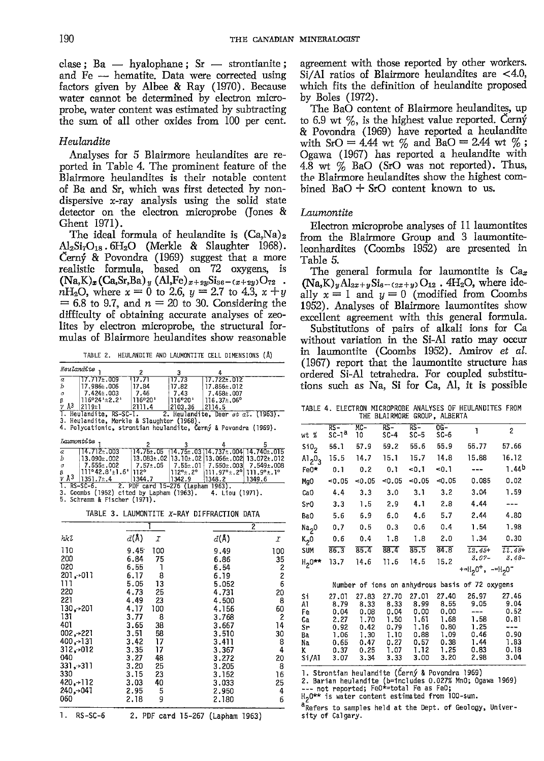clase;  $Ba - hyalophane$ ;  $Sr - strontianite$ ; and Fe - hematite. Data were corrected using factors given by Albee & Ray (1970). Because water cannot be determined by electron microprobe, water content was estimated by subtracting the sum of all other oxides from 100 per cent.

#### Heulandite

Analyses for 5 Blairmore heulandites are reported in Table 4. The prominent feature of the Blairmore heulandites is their notable content of Ba and Sr, which was first detected by nondispersive x-ray analysis using the solid state detector on the electron microprobe (Jones & Ghent 1971).

The ideal formula of heulandite is  $(Ca,Na)_2$  $Al_2Si_7O_{18}$ .6H<sub>2</sub>O (Merkle & Slaughter 1968). Cerný  $\&$  Povondra (1969) suggest that a more realistic formula, based on 72 oxygens, is  $(Na,K)_x (Ca,Sr,Ba)_y (Al,Fe)_{x+2y}Si_{36-(x+2y)}O_{72}$ .  $n_{2}$ O, where  $x = 0$  to 2.6,  $y = 2.7$  to 4.3,  $x + y$  $= 6.8$  to 9.7, and  $n = 20$  to 30. Considering the difficulty of obtaining accurate analyses of zeolites by electron microprobe, the structural formulas of Blairmore heulandites show reasonable

TABLE 2. HEULANDITE AND LAUMONTITE CELL DIMENSIONS (Å)

| Heulandite    |                                           |         |          |                                                                 |
|---------------|-------------------------------------------|---------|----------|-----------------------------------------------------------------|
| $\frac{a}{b}$ | $17.717 \pm .009$                         | 117.71  | 17.73    | $117.722 \pm .012$                                              |
|               | 17.986±.006                               | 17.84   | 17.82    | 17.856±.012                                                     |
| $\alpha$      | $7.424 \pm .003$                          | 7.46    | 7.43     | 7.458±.007                                                      |
| β             | 116°24'±2.2'                              | 116°20' | 1116°20' | $116.37\pm.06^{\circ}$                                          |
| $V$ A3        | 2119±1                                    | 2111.4  | 2103.36  | 2114.5                                                          |
|               | 1. Heulandite, RS-SC-1.                   |         |          | 2. Heulandite, Deer et al. (1963).                              |
|               | 3. Heulandite, Merkle & Slaughter (1968). |         |          |                                                                 |
|               |                                           |         |          | 4. Polycationic, strontian heulandite, Černý & Povondra (1969). |
|               | Immontite .                               |         |          |                                                                 |

| $\overline{a}$ | $114.712 \pm .003$                                                                                                                                   |                            |  |  | $14.75 \pm 0.05$ $14.75 \pm 0.03114.737 \pm 0.004114.740 \pm 0.015$  |  |  |  |  |  |  |  |
|----------------|------------------------------------------------------------------------------------------------------------------------------------------------------|----------------------------|--|--|----------------------------------------------------------------------|--|--|--|--|--|--|--|
| Ъ              | $13.090 \pm .002$                                                                                                                                    |                            |  |  | $13.083 \pm .02$ $13.10 \pm .02$ $13.066 \pm .002$ $13.072 \pm .012$ |  |  |  |  |  |  |  |
| $\sigma$       | $1.555 \pm .002$                                                                                                                                     |                            |  |  | $\mid$ 7.57±.05 $\mid$ 7.55±.01 7.550±.003 7.549±.008                |  |  |  |  |  |  |  |
| ß.             | $ 111^{\circ}42.8^{\prime} \pm 1.6^{\prime} 112^{\circ}$ $ 112^{\circ} \pm 0.2^{\circ} 111.97^{\circ} \pm 0.2^{\circ} 111.9^{\circ} \pm 0.1^{\circ}$ |                            |  |  |                                                                      |  |  |  |  |  |  |  |
|                | $V$ Å <sup>3</sup> 1351.7±.4                                                                                                                         | $1344.7$ $1342.9$ $1348.2$ |  |  | 1349.6                                                               |  |  |  |  |  |  |  |
|                | 1. RS-SC-6. 2. PDF card 15-276 (Lapham 1963).                                                                                                        |                            |  |  |                                                                      |  |  |  |  |  |  |  |
|                | 3. Coombs (1952) cited by Lapham (1963). 4. Liou (1971).                                                                                             |                            |  |  |                                                                      |  |  |  |  |  |  |  |
|                | 5. Schramm & Fischer (1971).                                                                                                                         |                            |  |  |                                                                      |  |  |  |  |  |  |  |

TABLE 3. LAUMONTITE X-RAY DIFFRACTION DATA

|               |                          | 2                             |                                             |
|---------------|--------------------------|-------------------------------|---------------------------------------------|
| hkl           | $d(\lambda)$<br>$\cal I$ | $d(\Lambda)$                  | I                                           |
| 110           | 100<br>9.45              | 9.49                          | 100                                         |
| 200           | 6.84<br>75               | 6.86                          | 35                                          |
| 020           | 6.55<br>٦                | 6.54                          |                                             |
| 201, 011      | 8<br>6.17                | 6.19                          | 2<br>2<br>6                                 |
| 111           | 5.05<br>13               | 5.052                         |                                             |
| 220           | 25<br>4.73               | 4.731                         | 20                                          |
| 221           | 4.49<br>23               | 4.500                         | 8                                           |
| 130, 201      | 4.17<br>100              | 4.156                         | 60                                          |
| 131           | 3.77<br>8                | 3.768                         | 2                                           |
| 401           | 3.65<br>38               | 3,667                         | 14                                          |
| 002, 221      | 3.51<br>58               | 3.510                         | 30                                          |
| 400,→131      | 17<br>3.42               | 3.411                         | $\begin{smallmatrix}8\0\4\end{smallmatrix}$ |
| 312,012       | 17<br>3.35               | 3.367                         |                                             |
| 040           | 3.27<br>48               | 3.272                         | 20                                          |
| 331,3311      | 3.20<br>25               | 3.205                         | 8                                           |
| 330           | 3.15<br>23               | 3.152                         | 16                                          |
| $420, +112$   | 40<br>3.03               | 3.033                         | 25                                          |
| 240, 041      | 5<br>2.95                | 2.950                         | 4                                           |
| 060           | 9<br>2.18                | 2.180                         | б                                           |
| 1.<br>RS-SC-6 | 2.                       | PDF card 15-267 (Lapham 1963) |                                             |

agreement with those reported by other workers. Si/Al ratios of Blairmore heulandites are  $<$  4.0, which fits the definition of heulandite proposed by Boles (1572).

The BaO content of Blairmore heulandites, up to 6.9 wt  $\%$ , is the highest value reported. Cerny & Povondra (1969) have reported a heulandite with SrO = 4.44 wt  $\%$  and BaO = 2.44 wt  $\%$ ; Ogawa (1967) has reported a heulandite with 4.8 wt  $\%$  BaO (SrO was not reported). Thus, the Blairmore heulandites show the highest combined  $BaO + SrO$  content known to us.

#### Laumantite

Electron microprobe analyses of 11 laumontites from the Blairmore Group and 3 laumontite' leonhardites (Coombs 1952) are presented in Table 5.

The general formula for laumontite is  $\text{Ca}_{x}$  $(Na,K)_yA1_{2x+y}Si_{6-(2x+y)}O_{12}$ . 4H<sub>2</sub>O, where ideally  $x = 1$  and  $y = 0$  (modified from Coombs 1952). Analyses of Blairmore laumontites show excellent agreement with this general formula.

Substitutions of pairs of alkali ions for Ca without variation in the Si-Al ratio may occur in laumontite (Coombs 1952). Amixov et aI. (1967) report that the laumontite structure has ordered Si-Al tetrahedra. For coupled substitutions such as Na, Si for Ca, Al, it is possible

|  |                              |  | TABLE 4. ELECTRON MICROPROBE ANALYSES OF HEULANDITES FROM |  |
|--|------------------------------|--|-----------------------------------------------------------|--|
|  | THE BLAIRMORE GROUP, ALBERTA |  |                                                           |  |

| wt %              | $RS-$<br>$SC-1a$ | $MC-$<br>10 | $RS-$<br>$SC-4$ | $RS -$<br>$SC-5$ | $0G-$<br>$SC-6$ | ľ                                                                 | $\overline{\mathbf{c}}$ |
|-------------------|------------------|-------------|-----------------|------------------|-----------------|-------------------------------------------------------------------|-------------------------|
| $\mathfrak{so}_2$ | 56.1             | 57.9        | 59.2            | 55.6             | 55.9            | 55.77                                                             | 57.66                   |
| A1203             | 15.5             | 14.7        | 15.1            | 15.7             | 14.8            | 15.88                                                             | 16.12                   |
| Fe0*              | 0.1              | 0.2         | 0.1             | $-0.1$           | -0.1            | $- - -$                                                           | 1.44 <sup>b</sup>       |
| MgO               | $-0.05$          | $-0.05$     | $-0.05$         | $-0.05$          | $-0.05$         | 0.085                                                             | 0.02                    |
| CaO               | 4.4              | 3.3         | 3.0             | 3.1              | 3.2             | 3.04                                                              | 1.59                    |
| Sr0               | 3.3              | 1.5         | 2.9             | 4.1              | 2.8             | 4.44                                                              | ---                     |
| Ba0               | 5.6              | 6.9         | 6.0             | 4.6              | 5.7             | 2.44                                                              | 4.80                    |
| Na <sub>2</sub> 0 | 0.7              | 0.5         | 0.3             | 0.6              | 0.4             | 1.54                                                              | 1.98                    |
| K <sub>2</sub> 0  | 0,6              | 0.4         | 1.8             | 1.8              | 2.0             | 1.34                                                              | 0.30                    |
| <b>SUM</b>        | 86.3             | 85.4        | 88.4            | 85.5             | 84.8            | $\overline{22.45}$ +                                              | $77.48 +$               |
| $H_{2}0**$        | 13.7             | 14.6        | 11.6            | 14.5             | 15.2            | $3.07 -$                                                          | $3.48-$                 |
|                   |                  |             |                 |                  |                 | +=H <sub>2</sub> 0 <sup>+</sup> , -=H <sub>2</sub> 0 <sup>-</sup> |                         |
|                   |                  |             |                 |                  |                 | Number of ions on anhydrous basis of 72 oxygens                   |                         |
| Si                | 27.01            | 27.83       | 27.70           | 27.01            | 27.40           | 26.97                                                             | 27.46                   |
| AI                | 8.79             | 8.33        | 8.33            | 8.99             | 8.55            | 9.05                                                              | 9.04                    |
| Fe                | 0.04             | 0.08        | 0.04            | 0.00             | 0.00            | ---                                                               | 0.52                    |
| Ca                | 2.27             | 1.70        |                 | $1.50$ 1.61      | 1.68            | 1.58                                                              | 0.81                    |
| Sr                | 0.92             | 0.42        | 0.79            | 1.16             | 0.80            | 1.25                                                              | $\cdots$                |

Ba 1.06 1.30 1.10<br>Na 0.65 0.47 0.27 Na 0.65 0.47 0.27<br>K 0.37 0.25 1.07 0.37 0.25 1.07<br>3.07 3.34 3.33  $Si/Al$ 0.88 1.09 0.46 0.90<br>0.57 0.38 1.44 1.83 0.57 0.38 1.44 1.83<br>1.12 1.25 0.83 0.18 1,12 1,25 0.83 0.18<br>3.00 3.20 2.98 3.04 2.98

1. Strontian heulandite (Cerný & Povondra 1969)

2. Barian heulandite (b=includes 0.027% MnO; Ogawa 1969)<br>--- not reported; FeO\*=total Fe as FeO;

H<sub>2</sub>O\*\* is water content estimated from 100-sum.

Ca 2.27 1.70 1.50<br>Sr 0.92 0.42 0.79 Sr 0.92 0.42 0.79<br>Ba 1.06 1.30 1.10

sity of Calgary.

a<sub>Refers</sub> to samples held at the Dept. of Geology, Univer-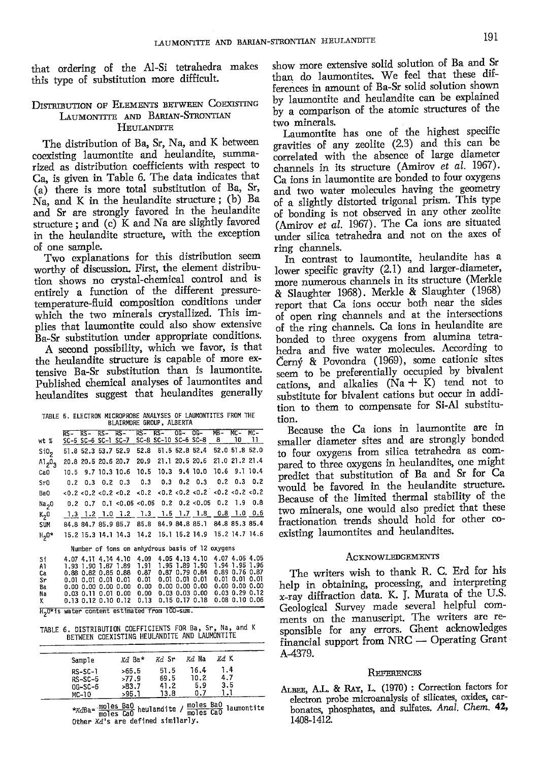that ordering of the Al-Si tetrahedra makes this type of substitution more difficult.

### **DISTRIBUTION OF ELEMENTS BETWEEN COEXISTING** LAUMONTITE AND BARIAN-STRONTIAN **HEULANDITE**

The distribution of Ba, Sr, Na, and K between coexisting laumontite and heulandite, summarized as distribution coefficients with respect to Ca, is given in Table 6. The data indicates that (a) there is more total substitution of Ba, Sr, Na, and K in the heulandite structure; (b) Ba and Sr are strongly favored in the heulandite structure; and (c) K and Na are slightly favored in the heulandite structure, with the exception of one sample.

Two explanations for this distribution seem worthy of discussion. First, the element distribution shows no crystal-chemical control and is entirely a function of the different pressuretemperature-fluid composition conditions under which the two minerals crystallized. This implies that laumontite could also show extensive Ba-Sr substitution under appropriate conditions.

A second possibility, which we favor, is that the heulandite structure is capable of more extensive Ba-Sr substitution than is laumontite. Published chemical analyses of laumontites and heulandites suggest that heulandites generally

| TABLE 5. ELECTRON MICROPROBE ANALYSES OF LAUMONTITES FROM THE |  | BLAIRMORE GROUP, ALBERTA                               |  |  |  |        |
|---------------------------------------------------------------|--|--------------------------------------------------------|--|--|--|--------|
|                                                               |  | RS- RS- RS- RS- RS- RS- 0G- 0G- MB- MC-                |  |  |  | $MC -$ |
| wt %                                                          |  | SC-5 SC-6 SC-1 SC-7 SC-8 SC-10 SC-6 SC-8 8 10 11       |  |  |  |        |
| Si0 <sub>2</sub>                                              |  | 51.8 52.3 53.7 52.9 52.8 51.5 52.8 52.4 52.0 51.8 52.0 |  |  |  |        |
| $A1_20_3$                                                     |  | 20.8 20.5 20.6 20.7 20.9 21.1 20.5 20.6 21.0 21.2 21.4 |  |  |  |        |
| CaO                                                           |  | 10.5 9.7 10.3 10.6 10.5 10.3 9.4 10.0 10.6 9.1 10.4    |  |  |  |        |
| Sr <sub>0</sub>                                               |  | $0.2$ 0.3 0.2 0.3 0.3 0.3 0.2 0.3 0.2 0.3 0.2          |  |  |  |        |
| BaO                                                           |  |                                                        |  |  |  |        |
| Na <sub>2</sub> 0                                             |  | $0.2$ 0.7 0.1 < 0.05 < 0.05 0.2 0.2 < 0.05 0.2 1.9 0.8 |  |  |  |        |
| K <sub>2</sub> 0                                              |  | 1.3 1.2 1.0 1.2 1.3 1.5 1.7 1.8 0.8 1.0 0.6            |  |  |  |        |
| SIM                                                           |  | 84.8 84.7 85.9 85.7 85.8 84.9 84.8 85.1 84.8 85.3 85.4 |  |  |  |        |

|  |  | Number of ions on anhydrous basis of 12 oxygens |  |  |  |
|--|--|-------------------------------------------------|--|--|--|

15.2 15.3 14.1 14.3 14.2 15.1 15.2 14.9 15.2 14.7 14.6

| Ba<br>Na<br>ĸ |  |                     | $0.01$ $0.01$ $0.01$ $0.01$ $0.01$<br>$0.00\,0.00\,0.00\,0.00\,0.00$<br>$0.03$ $0.11$ $0.01$ $0.00$ $0.00$ | $0.13$ $0.12$ $0.10$ $0.12$ $0.13$ |                | $0.01$ $0.01$ $0.01$ $0.01$ $0.01$ $0.01$<br>0.00 0.00 0.00<br>$0.03$ $0.03$ $0.00$ $0.03$ $0.29$ $0.12$<br>0.15 0.17 0.18 0.08 0.10 0.06 | 0.00 0.00 0.00 |                |  |
|---------------|--|---------------------|------------------------------------------------------------------------------------------------------------|------------------------------------|----------------|-------------------------------------------------------------------------------------------------------------------------------------------|----------------|----------------|--|
| Сa<br>Sr      |  |                     | 0.88 0.82 0.85 0.88 0.87                                                                                   |                                    |                | $0.87$ $0.79$ $0.84$                                                                                                                      | 0.89 0.76 0.87 |                |  |
| Si<br>A1      |  | 1.93 1.90 1.87 1.89 | 4.07 4.11 4.14 4.10 4.09                                                                                   | - 1.91                             | 1.95 1.89 1.90 | 4.05 4.13 4.10 4.07 4.05 4.05                                                                                                             |                | 1.94 1.95 1.96 |  |

H<sub>2</sub>O\*is water content estimated from 100-sum.

 $H<sub>2</sub>0*$ 

TABLE 6. DISTRIBUTION COEFFICIENTS FOR Ba, Sr, Na, and K<br>BETWEEN COEXISTING HEULANDITE AND LAUMONTITE

| Sample                                         | Kd Ba*                          | Kd Sr                        | <i>kd</i> Na               | Kd K              |  |
|------------------------------------------------|---------------------------------|------------------------------|----------------------------|-------------------|--|
| $RS-SC-1$<br>$RS-SC-5$<br>$0G-SC-6$<br>$MC-10$ | >65.5<br>>77.9<br>>83.7<br>>95. | 51.5<br>69.5<br>41.2<br>13.8 | 16.4<br>10.2<br>5.9<br>0.7 | 1.4<br>4.7<br>3.5 |  |

\*KdBa= moles BaO heulandite / moles BaO laumontite<br>moles CaO Other Xd's are defined similarly.

show more extensive solid solution of Ba and Sr than do laumontites. We feel that these differences in amount of Ba-Sr solid solution shown by laumontite and heulandite can be explained by a comparison of the atomic structures of the two minerals.

Laumontite has one of the highest specific gravities of any zeolite (2.3) and this can be correlated with the absence of large diameter channels in its structure (Amirov et al. 1967). Ca ions in laumontite are bonded to four oxygens and two water molecules having the geometry of a slightly distorted trigonal prism. This type of bonding is not observed in any other zeolite (Amirov et al. 1967). The Ca ions are situated under silica tetrahedra and not on the axes of ring channels.

In contrast to laumontite, heulandite has a lower specific gravity (2.1) and larger-diameter, more numerous channels in its structure (Merkle & Slaughter 1968). Merkle & Slaughter (1968) report that Ca ions occur both near the sides of open ring channels and at the intersections of the ring channels. Ca ions in heulandite are bonded to three oxygens from alumina tetrahedra and five water molecules. According to Černý & Povondra (1969), some cationic sites seem to be preferentially occupied by bivalent cations, and alkalies  $(Na + K)$  tend not to substitute for bivalent cations but occur in addition to them to compensate for Si-Al substitution.

Because the Ca ions in laumontite are in smaller diameter sites and are strongly bonded to four oxygens from silica tetrahedra as compared to three oxygens in heulandites, one might predict that substitution of Ba and Sr for Ca would be favored in the heulandite structure. Because of the limited thermal stability of the two minerals, one would also predict that these fractionation trends should hold for other coexisting laumontites and heulandites.

### **ACKNOWLEDGEMENTS**

The writers wish to thank R. C. Erd for his help in obtaining, processing, and interpreting x-ray diffraction data. K. J. Murata of the U.S. Geological Survey made several helpful comments on the manuscript. The writers are responsible for any errors. Ghent acknowledges financial support from NRC - Operating Grant A-4379.

#### REFERENCES

ALBEE, A.L. & RAY, L. (1970) : Correction factors for electron probe microanalysis of silicates, oxides, carbonates, phosphates, and sulfates. Anal. Chem. 42, 1408-1412.